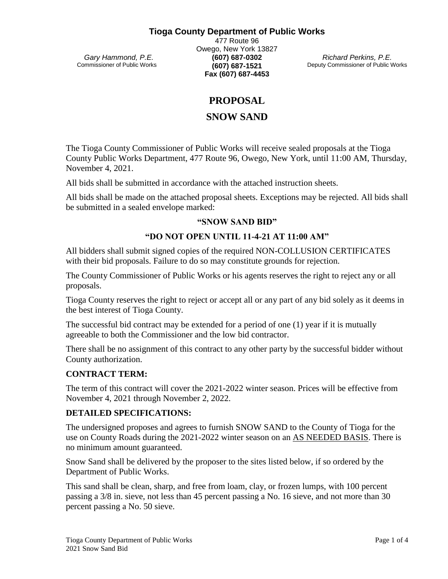## **Tioga County Department of Public Works**

 *Gary Hammond, P.E.* Commissioner of Public Works

477 Route 96 Owego, New York 13827 **(607) 687-0302 (607) 687-1521 Fax (607) 687-4453**

*Richard Perkins, P.E.* Deputy Commissioner of Public Works

## **PROPOSAL**

## **SNOW SAND**

The Tioga County Commissioner of Public Works will receive sealed proposals at the Tioga County Public Works Department, 477 Route 96, Owego, New York, until 11:00 AM, Thursday, November 4, 2021.

All bids shall be submitted in accordance with the attached instruction sheets.

All bids shall be made on the attached proposal sheets. Exceptions may be rejected. All bids shall be submitted in a sealed envelope marked:

#### **"SNOW SAND BID"**

## **"DO NOT OPEN UNTIL 11-4-21 AT 11:00 AM"**

All bidders shall submit signed copies of the required NON-COLLUSION CERTIFICATES with their bid proposals. Failure to do so may constitute grounds for rejection.

The County Commissioner of Public Works or his agents reserves the right to reject any or all proposals.

Tioga County reserves the right to reject or accept all or any part of any bid solely as it deems in the best interest of Tioga County.

The successful bid contract may be extended for a period of one (1) year if it is mutually agreeable to both the Commissioner and the low bid contractor.

There shall be no assignment of this contract to any other party by the successful bidder without County authorization.

#### **CONTRACT TERM:**

The term of this contract will cover the 2021-2022 winter season. Prices will be effective from November 4, 2021 through November 2, 2022.

#### **DETAILED SPECIFICATIONS:**

The undersigned proposes and agrees to furnish SNOW SAND to the County of Tioga for the use on County Roads during the 2021-2022 winter season on an AS NEEDED BASIS. There is no minimum amount guaranteed.

Snow Sand shall be delivered by the proposer to the sites listed below, if so ordered by the Department of Public Works.

This sand shall be clean, sharp, and free from loam, clay, or frozen lumps, with 100 percent passing a 3/8 in. sieve, not less than 45 percent passing a No. 16 sieve, and not more than 30 percent passing a No. 50 sieve.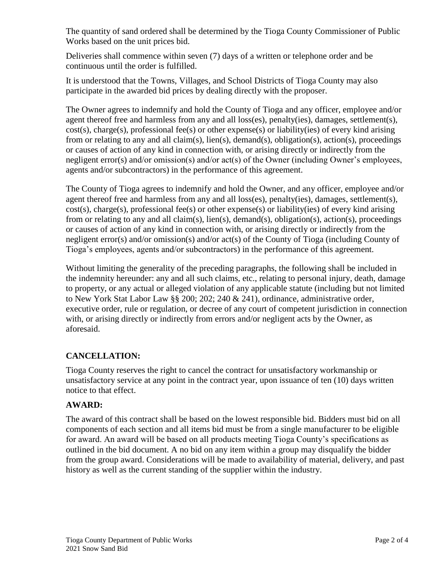The quantity of sand ordered shall be determined by the Tioga County Commissioner of Public Works based on the unit prices bid.

Deliveries shall commence within seven (7) days of a written or telephone order and be continuous until the order is fulfilled.

It is understood that the Towns, Villages, and School Districts of Tioga County may also participate in the awarded bid prices by dealing directly with the proposer.

The Owner agrees to indemnify and hold the County of Tioga and any officer, employee and/or agent thereof free and harmless from any and all loss(es), penalty(ies), damages, settlement(s), cost(s), charge(s), professional fee(s) or other expense(s) or liability(ies) of every kind arising from or relating to any and all claim(s), lien(s), demand(s), obligation(s), action(s), proceedings or causes of action of any kind in connection with, or arising directly or indirectly from the negligent error(s) and/or omission(s) and/or act(s) of the Owner (including Owner's employees, agents and/or subcontractors) in the performance of this agreement.

The County of Tioga agrees to indemnify and hold the Owner, and any officer, employee and/or agent thereof free and harmless from any and all loss(es), penalty(ies), damages, settlement(s), cost(s), charge(s), professional fee(s) or other expense(s) or liability(ies) of every kind arising from or relating to any and all claim(s), lien(s), demand(s), obligation(s), action(s), proceedings or causes of action of any kind in connection with, or arising directly or indirectly from the negligent error(s) and/or omission(s) and/or act(s) of the County of Tioga (including County of Tioga's employees, agents and/or subcontractors) in the performance of this agreement.

Without limiting the generality of the preceding paragraphs, the following shall be included in the indemnity hereunder: any and all such claims, etc., relating to personal injury, death, damage to property, or any actual or alleged violation of any applicable statute (including but not limited to New York Stat Labor Law  $\frac{88}{200}$ : 202; 240 & 241), ordinance, administrative order, executive order, rule or regulation, or decree of any court of competent jurisdiction in connection with, or arising directly or indirectly from errors and/or negligent acts by the Owner, as aforesaid.

## **CANCELLATION:**

Tioga County reserves the right to cancel the contract for unsatisfactory workmanship or unsatisfactory service at any point in the contract year, upon issuance of ten (10) days written notice to that effect.

## **AWARD:**

The award of this contract shall be based on the lowest responsible bid. Bidders must bid on all components of each section and all items bid must be from a single manufacturer to be eligible for award. An award will be based on all products meeting Tioga County's specifications as outlined in the bid document. A no bid on any item within a group may disqualify the bidder from the group award. Considerations will be made to availability of material, delivery, and past history as well as the current standing of the supplier within the industry.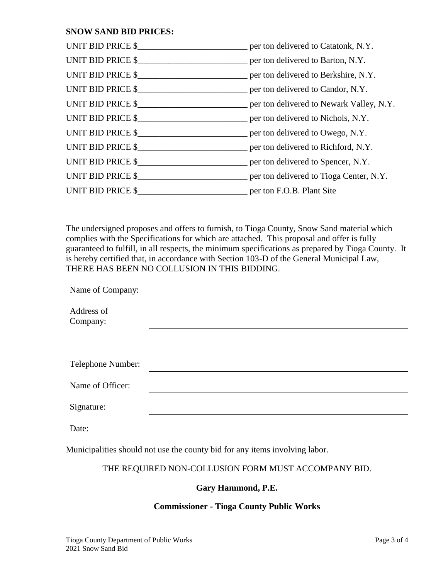## **SNOW SAND BID PRICES:**

| UNIT BID PRICE \$__________________________________ per ton delivered to Catatonk, N.Y.    |  |
|--------------------------------------------------------------------------------------------|--|
| UNIT BID PRICE \$_________________________________ per ton delivered to Barton, N.Y.       |  |
|                                                                                            |  |
| UNIT BID PRICE \$_________________________________ per ton delivered to Candor, N.Y.       |  |
| UNIT BID PRICE \$________________________________ per ton delivered to Newark Valley, N.Y. |  |
| UNIT BID PRICE \$________________________________ per ton delivered to Nichols, N.Y.       |  |
| UNIT BID PRICE \$__________________________________ per ton delivered to Owego, N.Y.       |  |
| UNIT BID PRICE $\$\$ per ton delivered to Richford, N.Y.                                   |  |
| UNIT BID PRICE $\frac{1}{2}$ per ton delivered to Spencer, N.Y.                            |  |
| UNIT BID PRICE \$    per ton delivered to Tioga Center, N.Y.                               |  |
| UNIT BID PRICE \$                                                                          |  |

The undersigned proposes and offers to furnish, to Tioga County, Snow Sand material which complies with the Specifications for which are attached. This proposal and offer is fully guaranteed to fulfill, in all respects, the minimum specifications as prepared by Tioga County. It is hereby certified that, in accordance with Section 103-D of the General Municipal Law, THERE HAS BEEN NO COLLUSION IN THIS BIDDING.

| Name of Company:       |  |
|------------------------|--|
| Address of<br>Company: |  |
|                        |  |
| Telephone Number:      |  |
| Name of Officer:       |  |
| Signature:             |  |
| Date:                  |  |

Municipalities should not use the county bid for any items involving labor.

## THE REQUIRED NON-COLLUSION FORM MUST ACCOMPANY BID.

## **Gary Hammond, P.E.**

## **Commissioner - Tioga County Public Works**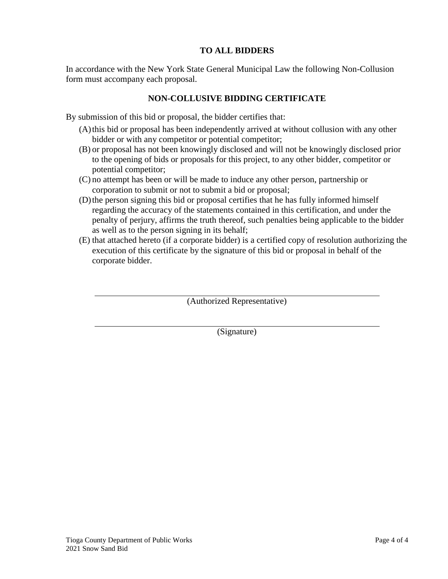## **TO ALL BIDDERS**

In accordance with the New York State General Municipal Law the following Non-Collusion form must accompany each proposal.

## **NON-COLLUSIVE BIDDING CERTIFICATE**

By submission of this bid or proposal, the bidder certifies that:

- (A)this bid or proposal has been independently arrived at without collusion with any other bidder or with any competitor or potential competitor;
- (B) or proposal has not been knowingly disclosed and will not be knowingly disclosed prior to the opening of bids or proposals for this project, to any other bidder, competitor or potential competitor;
- (C) no attempt has been or will be made to induce any other person, partnership or corporation to submit or not to submit a bid or proposal;
- (D)the person signing this bid or proposal certifies that he has fully informed himself regarding the accuracy of the statements contained in this certification, and under the penalty of perjury, affirms the truth thereof, such penalties being applicable to the bidder as well as to the person signing in its behalf;
- (E) that attached hereto (if a corporate bidder) is a certified copy of resolution authorizing the execution of this certificate by the signature of this bid or proposal in behalf of the corporate bidder.

(Authorized Representative)

(Signature)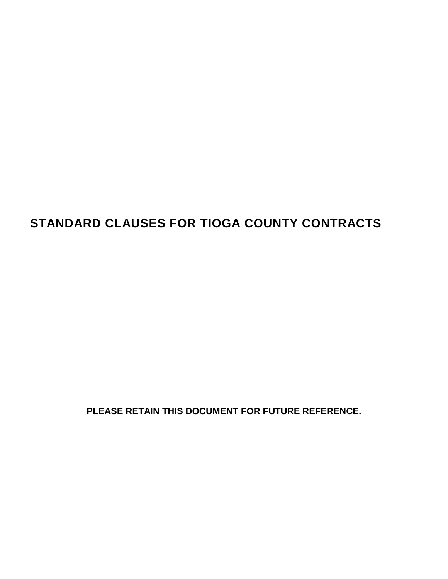# **STANDARD CLAUSES FOR TIOGA COUNTY CONTRACTS**

**PLEASE RETAIN THIS DOCUMENT FOR FUTURE REFERENCE.**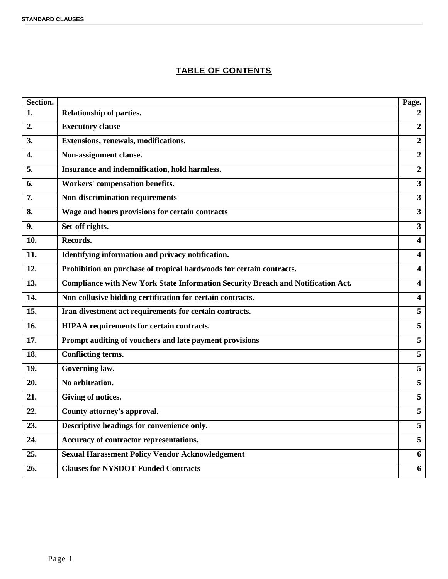## **TABLE OF CONTENTS**

| Section.          |                                                                                  | Page.                   |
|-------------------|----------------------------------------------------------------------------------|-------------------------|
| 1.                | <b>Relationship of parties.</b>                                                  | $\mathbf{2}$            |
| 2.                | <b>Executory clause</b>                                                          | $\overline{2}$          |
| 3.                | Extensions, renewals, modifications.                                             | $\overline{2}$          |
| 4.                | Non-assignment clause.                                                           | $\overline{2}$          |
| 5.                | Insurance and indemnification, hold harmless.                                    | $\overline{2}$          |
| 6.                | <b>Workers' compensation benefits.</b>                                           | $\mathbf{3}$            |
| 7.                | <b>Non-discrimination requirements</b>                                           | $\mathbf{3}$            |
| 8.                | Wage and hours provisions for certain contracts                                  | $\mathbf{3}$            |
| 9.                | Set-off rights.                                                                  | $\mathbf{3}$            |
| 10.               | Records.                                                                         | $\overline{\mathbf{4}}$ |
| 11.               | Identifying information and privacy notification.                                | $\overline{\mathbf{4}}$ |
| 12.               | Prohibition on purchase of tropical hardwoods for certain contracts.             | 4                       |
| $\overline{13}$ . | Compliance with New York State Information Security Breach and Notification Act. | $\overline{\mathbf{4}}$ |
| 14.               | Non-collusive bidding certification for certain contracts.                       | $\overline{\mathbf{4}}$ |
| 15.               | Iran divestment act requirements for certain contracts.                          | 5                       |
| 16.               | <b>HIPAA</b> requirements for certain contracts.                                 | 5                       |
| 17.               | Prompt auditing of vouchers and late payment provisions                          | $\overline{5}$          |
| $\overline{18}$ . | <b>Conflicting terms.</b>                                                        | $\overline{5}$          |
| 19.               | <b>Governing law.</b>                                                            | 5                       |
| 20.               | No arbitration.                                                                  | 5                       |
| 21.               | <b>Giving of notices.</b>                                                        | 5                       |
| 22.               | County attorney's approval.                                                      | $5\overline{)}$         |
| 23.               | Descriptive headings for convenience only.                                       | $\overline{5}$          |
| 24.               | Accuracy of contractor representations.                                          | 5                       |
| 25.               | <b>Sexual Harassment Policy Vendor Acknowledgement</b>                           | 6                       |
| 26.               | <b>Clauses for NYSDOT Funded Contracts</b>                                       | 6                       |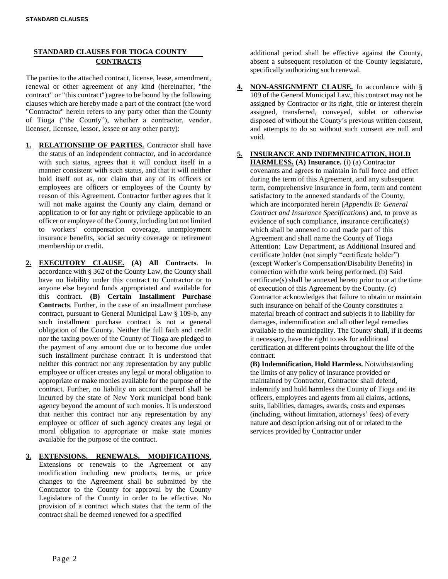#### **STANDARD CLAUSES FOR TIOGA COUNTY CONTRACTS**

The parties to the attached contract, license, lease, amendment, renewal or other agreement of any kind (hereinafter, "the contract" or "this contract") agree to be bound by the following clauses which are hereby made a part of the contract (the word "Contractor" herein refers to any party other than the County of Tioga ("the County"), whether a contractor, vendor, licenser, licensee, lessor, lessee or any other party):

- **1. RELATIONSHIP OF PARTIES.** Contractor shall have the status of an independent contractor, and in accordance with such status, agrees that it will conduct itself in a manner consistent with such status, and that it will neither hold itself out as, nor claim that any of its officers or employees are officers or employees of the County by reason of this Agreement. Contractor further agrees that it will not make against the County any claim, demand or application to or for any right or privilege applicable to an officer or employee of the County, including but not limited to workers' compensation coverage, unemployment insurance benefits, social security coverage or retirement membership or credit.
- **2. EXECUTORY CLAUSE. (A) All Contracts**. In accordance with § 362 of the County Law, the County shall have no liability under this contract to Contractor or to anyone else beyond funds appropriated and available for this contract. **(B) Certain Installment Purchase Contracts**. Further, in the case of an installment purchase contract, pursuant to General Municipal Law § 109-b, any such installment purchase contract is not a general obligation of the County. Neither the full faith and credit nor the taxing power of the County of Tioga are pledged to the payment of any amount due or to become due under such installment purchase contract. It is understood that neither this contract nor any representation by any public employee or officer creates any legal or moral obligation to appropriate or make monies available for the purpose of the contract. Further, no liability on account thereof shall be incurred by the state of New York municipal bond bank agency beyond the amount of such monies. It is understood that neither this contract nor any representation by any employee or officer of such agency creates any legal or moral obligation to appropriate or make state monies available for the purpose of the contract.
- **3. EXTENSIONS, RENEWALS, MODIFICATIONS**.

Extensions or renewals to the Agreement or any modification including new products, terms, or price changes to the Agreement shall be submitted by the Contractor to the County for approval by the County Legislature of the County in order to be effective. No provision of a contract which states that the term of the contract shall be deemed renewed for a specified

additional period shall be effective against the County, absent a subsequent resolution of the County legislature, specifically authorizing such renewal.

- **4. NON-ASSIGNMENT CLAUSE.** In accordance with § 109 of the General Municipal Law, this contract may not be assigned by Contractor or its right, title or interest therein assigned, transferred, conveyed, sublet or otherwise disposed of without the County's previous written consent, and attempts to do so without such consent are null and void.
- **5. INSURANCE AND INDEMNIFICATION, HOLD**

**HARMLESS. (A) Insurance.** (i) (a) Contractor covenants and agrees to maintain in full force and effect during the term of this Agreement, and any subsequent term, comprehensive insurance in form, term and content satisfactory to the annexed standards of the County, which are incorporated herein (*Appendix B: General Contract and Insurance Specifications*) and, to prove as evidence of such compliance, insurance certificate(s) which shall be annexed to and made part of this Agreement and shall name the County of Tioga Attention: Law Department, as Additional Insured and certificate holder (not simply "certificate holder") (except Worker's Compensation/Disability Benefits) in connection with the work being performed. (b) Said certificate(s) shall be annexed hereto prior to or at the time of execution of this Agreement by the County. (c) Contractor acknowledges that failure to obtain or maintain such insurance on behalf of the County constitutes a material breach of contract and subjects it to liability for damages, indemnification and all other legal remedies available to the municipality. The County shall, if it deems it necessary, have the right to ask for additional certification at different points throughout the life of the contract.

**(B) Indemnification, Hold Harmless.** Notwithstanding the limits of any policy of insurance provided or maintained by Contractor, Contractor shall defend, indemnify and hold harmless the County of Tioga and its officers, employees and agents from all claims, actions, suits, liabilities, damages, awards, costs and expenses (including, without limitation, attorneys' fees) of every nature and description arising out of or related to the services provided by Contractor under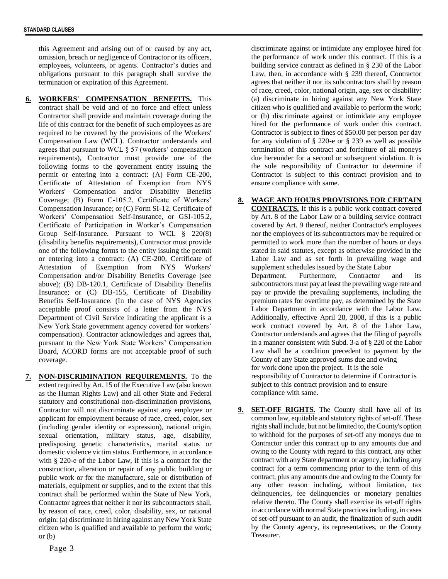this Agreement and arising out of or caused by any act, omission, breach or negligence of Contractor or its officers, employees, volunteers, or agents. Contractor's duties and obligations pursuant to this paragraph shall survive the termination or expiration of this Agreement.

**6. WORKERS' COMPENSATION BENEFITS.** This contract shall be void and of no force and effect unless Contractor shall provide and maintain coverage during the life of this contract for the benefit of such employees as are required to be covered by the provisions of the Workers' Compensation Law (WCL). Contractor understands and agrees that pursuant to WCL § 57 (workers' compensation requirements), Contractor must provide one of the following forms to the government entity issuing the permit or entering into a contract: (A) Form CE-200, Certificate of Attestation of Exemption from NYS Workers' Compensation and/or Disability Benefits Coverage; (B) Form C-105.2, Certificate of Workers' Compensation Insurance; or (C) Form SI-12, Certificate of Workers' Compensation Self-Insurance, or GSI-105.2, Certificate of Participation in Worker's Compensation Group Self-Insurance. Pursuant to WCL § 220(8) (disability benefits requirements), Contractor must provide one of the following forms to the entity issuing the permit or entering into a contract: (A) CE-200, Certificate of Attestation of Exemption from NYS Workers' Compensation and/or Disability Benefits Coverage (see above); (B) DB-120.1, Certificate of Disability Benefits Insurance; or (C) DB-155, Certificate of Disability Benefits Self-Insurance. (In the case of NYS Agencies acceptable proof consists of a letter from the NYS Department of Civil Service indicating the applicant is a New York State government agency covered for workers' compensation). Contractor acknowledges and agrees that, pursuant to the New York State Workers' Compensation Board, ACORD forms are not acceptable proof of such coverage.

**7. NON-DISCRIMINATION REQUIREMENTS.** To the extent required by Art. 15 of the Executive Law (also known as the Human Rights Law) and all other State and Federal statutory and constitutional non-discrimination provisions, Contractor will not discriminate against any employee or applicant for employment because of race, creed, color, sex (including gender identity or expression), national origin, sexual orientation, military status, age, disability, predisposing genetic characteristics, marital status or domestic violence victim status. Furthermore, in accordance with § 220-e of the Labor Law, if this is a contract for the construction, alteration or repair of any public building or public work or for the manufacture, sale or distribution of materials, equipment or supplies, and to the extent that this contract shall be performed within the State of New York, Contractor agrees that neither it nor its subcontractors shall, by reason of race, creed, color, disability, sex, or national origin: (a) discriminate in hiring against any New York State citizen who is qualified and available to perform the work; or (b)

Page 3

discriminate against or intimidate any employee hired for the performance of work under this contract. If this is a building service contract as defined in § 230 of the Labor Law, then, in accordance with § 239 thereof, Contractor agrees that neither it nor its subcontractors shall by reason of race, creed, color, national origin, age, sex or disability: (a) discriminate in hiring against any New York State citizen who is qualified and available to perform the work; or (b) discriminate against or intimidate any employee hired for the performance of work under this contract. Contractor is subject to fines of \$50.00 per person per day for any violation of § 220-e or § 239 as well as possible termination of this contract and forfeiture of all moneys due hereunder for a second or subsequent violation. It is the sole responsibility of Contractor to determine if Contractor is subject to this contract provision and to ensure compliance with same.

## **8. WAGE AND HOURS PROVISIONS FOR CERTAIN**

**CONTRACTS.** If this is a public work contract covered by Art. 8 of the Labor Law or a building service contract covered by Art. 9 thereof, neither Contractor's employees nor the employees of its subcontractors may be required or permitted to work more than the number of hours or days stated in said statutes, except as otherwise provided in the Labor Law and as set forth in prevailing wage and supplement schedules issued by the State Labor Department. Furthermore, Contractor and its subcontractors must pay at least the prevailing wage rate and pay or provide the prevailing supplements, including the premium rates for overtime pay, as determined by the State Labor Department in accordance with the Labor Law. Additionally, effective April 28, 2008, if this is a public work contract covered by Art. 8 of the Labor Law, Contractor understands and agrees that the filing of payrolls in a manner consistent with Subd. 3-a of § 220 of the Labor Law shall be a condition precedent to payment by the County of any State approved sums due and owing for work done upon the project. It is the sole responsibility of Contractor to determine if Contractor is subject to this contract provision and to ensure compliance with same.

**9. SET-OFF RIGHTS.** The County shall have all of its common law, equitable and statutory rights of set-off. These rights shall include, but not be limited to, the County's option to withhold for the purposes of set-off any moneys due to Contractor under this contract up to any amounts due and owing to the County with regard to this contract, any other contract with any State department or agency, including any contract for a term commencing prior to the term of this contract, plus any amounts due and owing to the County for any other reason including, without limitation, tax delinquencies, fee delinquencies or monetary penalties relative thereto. The County shall exercise its set-off rights in accordance with normal State practices including, in cases of set-off pursuant to an audit, the finalization of such audit by the County agency, its representatives, or the County Treasurer.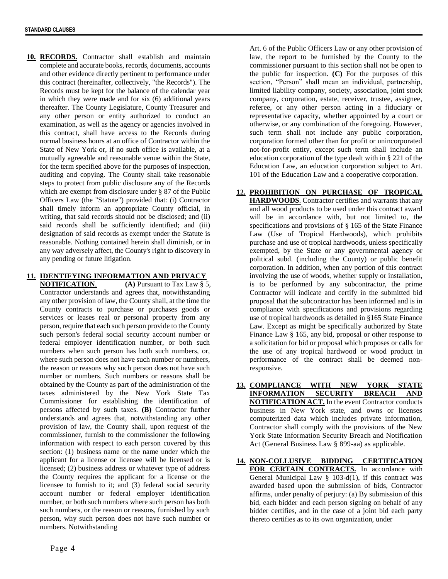**10. RECORDS.** Contractor shall establish and maintain complete and accurate books, records, documents, accounts and other evidence directly pertinent to performance under this contract (hereinafter, collectively, "the Records"). The Records must be kept for the balance of the calendar year in which they were made and for six (6) additional years thereafter. The County Legislature, County Treasurer and any other person or entity authorized to conduct an examination, as well as the agency or agencies involved in this contract, shall have access to the Records during normal business hours at an office of Contractor within the State of New York or, if no such office is available, at a mutually agreeable and reasonable venue within the State, for the term specified above for the purposes of inspection, auditing and copying. The County shall take reasonable steps to protect from public disclosure any of the Records which are exempt from disclosure under § 87 of the Public Officers Law (the "Statute") provided that: (i) Contractor shall timely inform an appropriate County official, in writing, that said records should not be disclosed; and (ii) said records shall be sufficiently identified; and (iii) designation of said records as exempt under the Statute is reasonable. Nothing contained herein shall diminish, or in any way adversely affect, the County's right to discovery in any pending or future litigation.

#### **11. IDENTIFYING INFORMATION AND PRIVACY**

**NOTIFICATION. (A)** Pursuant to Tax Law § 5, Contractor understands and agrees that, notwithstanding any other provision of law, the County shall, at the time the County contracts to purchase or purchases goods or services or leases real or personal property from any person, require that each such person provide to the County such person's federal social security account number or federal employer identification number, or both such numbers when such person has both such numbers, or, where such person does not have such number or numbers, the reason or reasons why such person does not have such number or numbers. Such numbers or reasons shall be obtained by the County as part of the administration of the taxes administered by the New York State Tax Commissioner for establishing the identification of persons affected by such taxes. **(B)** Contractor further understands and agrees that, notwithstanding any other provision of law, the County shall, upon request of the commissioner, furnish to the commissioner the following information with respect to each person covered by this section: (1) business name or the name under which the applicant for a license or licensee will be licensed or is licensed; (2) business address or whatever type of address the County requires the applicant for a license or the licensee to furnish to it; and (3) federal social security account number or federal employer identification number, or both such numbers where such person has both such numbers, or the reason or reasons, furnished by such person, why such person does not have such number or numbers. Notwithstanding

Art. 6 of the Public Officers Law or any other provision of law, the report to be furnished by the County to the commissioner pursuant to this section shall not be open to the public for inspection. **(C)** For the purposes of this section, "Person" shall mean an individual, partnership, limited liability company, society, association, joint stock company, corporation, estate, receiver, trustee, assignee, referee, or any other person acting in a fiduciary or representative capacity, whether appointed by a court or otherwise, or any combination of the foregoing. However, such term shall not include any public corporation, corporation formed other than for profit or unincorporated not-for-profit entity, except such term shall include an education corporation of the type dealt with in § 221 of the Education Law, an education corporation subject to Art. 101 of the Education Law and a cooperative corporation.

- **12. PROHIBITION ON PURCHASE OF TROPICAL HARDWOODS**. Contractor certifies and warrants that any and all wood products to be used under this contract award will be in accordance with, but not limited to, the specifications and provisions of § 165 of the State Finance Law (Use of Tropical Hardwoods), which prohibits purchase and use of tropical hardwoods, unless specifically exempted, by the State or any governmental agency or political subd. (including the County) or public benefit corporation. In addition, when any portion of this contract involving the use of woods, whether supply or installation, is to be performed by any subcontractor, the prime Contractor will indicate and certify in the submitted bid proposal that the subcontractor has been informed and is in compliance with specifications and provisions regarding use of tropical hardwoods as detailed in §165 State Finance Law. Except as might be specifically authorized by State Finance Law § 165, any bid, proposal or other response to a solicitation for bid or proposal which proposes or calls for the use of any tropical hardwood or wood product in performance of the contract shall be deemed nonresponsive.
- **13. COMPLIANCE WITH NEW YORK STATE INFORMATION SECURITY BREACH AND NOTIFICATION ACT.** In the event Contractor conducts business in New York state, and owns or licenses computerized data which includes private information, Contractor shall comply with the provisions of the New York State Information Security Breach and Notification Act (General Business Law § 899-aa) as applicable.
- **14. NON-COLLUSIVE BIDDING CERTIFICATION**  FOR CERTAIN CONTRACTS. In accordance with General Municipal Law  $\S$  103-d(1), if this contract was awarded based upon the submission of bids, Contractor affirms, under penalty of perjury: (a) By submission of this bid, each bidder and each person signing on behalf of any bidder certifies, and in the case of a joint bid each party thereto certifies as to its own organization, under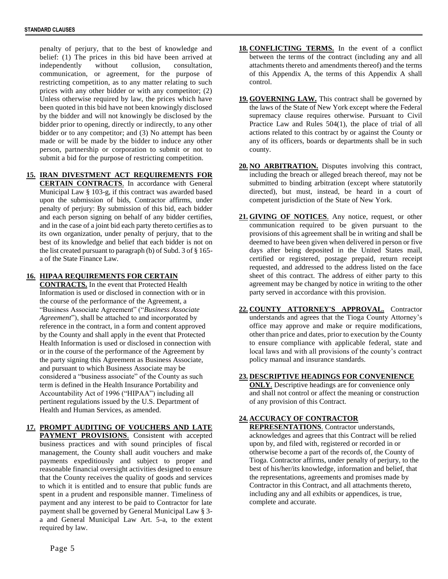penalty of perjury, that to the best of knowledge and belief: (1) The prices in this bid have been arrived at independently without collusion, consultation, communication, or agreement, for the purpose of restricting competition, as to any matter relating to such prices with any other bidder or with any competitor; (2) Unless otherwise required by law, the prices which have been quoted in this bid have not been knowingly disclosed by the bidder and will not knowingly be disclosed by the bidder prior to opening, directly or indirectly, to any other bidder or to any competitor; and (3) No attempt has been made or will be made by the bidder to induce any other person, partnership or corporation to submit or not to submit a bid for the purpose of restricting competition.

**15. IRAN DIVESTMENT ACT REQUIREMENTS FOR CERTAIN CONTRACTS**. In accordance with General Municipal Law § 103-g, if this contract was awarded based upon the submission of bids, Contractor affirms, under penalty of perjury: By submission of this bid, each bidder and each person signing on behalf of any bidder certifies, and in the case of a joint bid each party thereto certifies as to its own organization, under penalty of perjury, that to the best of its knowledge and belief that each bidder is not on the list created pursuant to paragraph (b) of Subd. 3 of § 165 a of the State Finance Law.

#### **16. HIPAA REQUIREMENTS FOR CERTAIN**

**CONTRACTS.** In the event that Protected Health Information is used or disclosed in connection with or in the course of the performance of the Agreement, a "Business Associate Agreement" ("*Business Associate Agreement*"), shall be attached to and incorporated by reference in the contract, in a form and content approved by the County and shall apply in the event that Protected Health Information is used or disclosed in connection with or in the course of the performance of the Agreement by the party signing this Agreement as Business Associate, and pursuant to which Business Associate may be considered a "business associate" of the County as such term is defined in the Health Insurance Portability and Accountability Act of 1996 ("HIPAA") including all pertinent regulations issued by the U.S. Department of Health and Human Services, as amended.

**17. PROMPT AUDITING OF VOUCHERS AND LATE PAYMENT PROVISIONS**. Consistent with accepted business practices and with sound principles of fiscal management, the County shall audit vouchers and make payments expeditiously and subject to proper and reasonable financial oversight activities designed to ensure that the County receives the quality of goods and services to which it is entitled and to ensure that public funds are spent in a prudent and responsible manner. Timeliness of payment and any interest to be paid to Contractor for late payment shall be governed by General Municipal Law § 3 a and General Municipal Law Art. 5-a, to the extent required by law.

- **18. CONFLICTING TERMS.** In the event of a conflict between the terms of the contract (including any and all attachments thereto and amendments thereof) and the terms of this Appendix A, the terms of this Appendix A shall control.
- **19. GOVERNING LAW.** This contract shall be governed by the laws of the State of New York except where the Federal supremacy clause requires otherwise. Pursuant to Civil Practice Law and Rules 504(1), the place of trial of all actions related to this contract by or against the County or any of its officers, boards or departments shall be in such county.
- **20. NO ARBITRATION.** Disputes involving this contract, including the breach or alleged breach thereof, may not be submitted to binding arbitration (except where statutorily directed), but must, instead, be heard in a court of competent jurisdiction of the State of New York.
- **21. GIVING OF NOTICES**. Any notice, request, or other communication required to be given pursuant to the provisions of this agreement shall be in writing and shall be deemed to have been given when delivered in person or five days after being deposited in the United States mail, certified or registered, postage prepaid, return receipt requested, and addressed to the address listed on the face sheet of this contract. The address of either party to this agreement may be changed by notice in writing to the other party served in accordance with this provision.
- **22. COUNTY ATTORNEY'S APPROVAL.** Contractor understands and agrees that the Tioga County Attorney's office may approve and make or require modifications, other than price and dates, prior to execution by the County to ensure compliance with applicable federal, state and local laws and with all provisions of the county's contract policy manual and insurance standards.

#### **23. DESCRIPTIVE HEADINGS FOR CONVENIENCE**

**ONLY**. Descriptive headings are for convenience only and shall not control or affect the meaning or construction of any provision of this Contract.

#### **24. ACCURACY OF CONTRACTOR**

**REPRESENTATIONS**. Contractor understands, acknowledges and agrees that this Contract will be relied upon by, and filed with, registered or recorded in or otherwise become a part of the records of, the County of Tioga. Contractor affirms, under penalty of perjury, to the best of his/her/its knowledge, information and belief, that the representations, agreements and promises made by Contractor in this Contract, and all attachments thereto, including any and all exhibits or appendices, is true, complete and accurate.